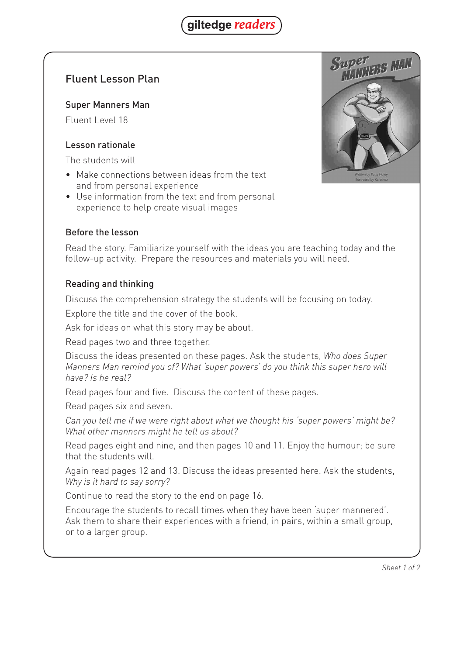

# Fluent Lesson Plan

### Super Manners Man

Fluent Level 18

### Lesson rationale

The students will

- Make connections between ideas from the text and from personal experience
- Use information from the text and from personal experience to help create visual images

### Before the lesson

Read the story. Familiarize yourself with the ideas you are teaching today and the follow-up activity. Prepare the resources and materials you will need.

### Reading and thinking

Discuss the comprehension strategy the students will be focusing on today.

Explore the title and the cover of the book.

Ask for ideas on what this story may be about.

Read pages two and three together.

Discuss the ideas presented on these pages. Ask the students, *Who does Super Manners Man remind you of? What 'super powers' do you think this super hero will have? Is he real?*

Read pages four and five. Discuss the content of these pages.

Read pages six and seven.

*Can you tell me if we were right about what we thought his 'super powers' might be? What other manners might he tell us about?*

Read pages eight and nine, and then pages 10 and 11. Enjoy the humour; be sure that the students will.

Again read pages 12 and 13. Discuss the ideas presented here. Ask the students, *Why is it hard to say sorry?*

Continue to read the story to the end on page 16.

Encourage the students to recall times when they have been 'super mannered'. Ask them to share their experiences with a friend, in pairs, within a small group, or to a larger group.